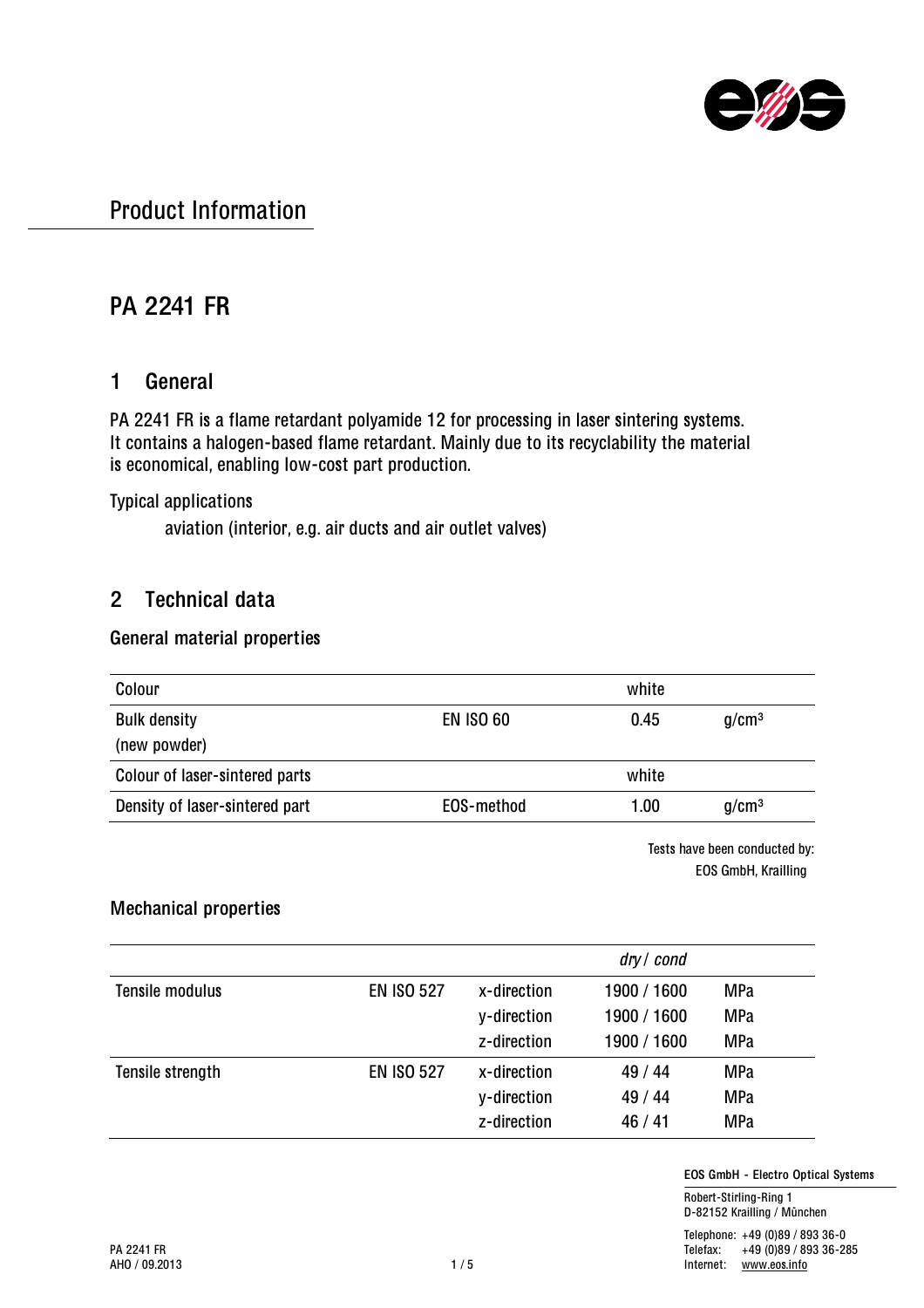

## PA 2241 FR

## 1 General

PA 2241 FR is a flame retardant polyamide 12 for processing in laser sintering systems. It contains a halogen-based flame retardant. Mainly due to its recyclability the material is economical, enabling low-cost part production.

Typical applications

aviation (interior, e.g. air ducts and air outlet valves)

### 2 Technical data

### General material properties

| Colour                         |                  | white |                   |
|--------------------------------|------------------|-------|-------------------|
| <b>Bulk density</b>            | <b>EN ISO 60</b> | 0.45  | q/cm <sup>3</sup> |
| (new powder)                   |                  |       |                   |
| Colour of laser-sintered parts |                  | white |                   |
| Density of laser-sintered part | EOS-method       | 1.00  | q/cm <sup>3</sup> |

Tests have been conducted by: EOS GmbH, Krailling

### Mechanical properties

|                  |                   |             | dry / cond  |            |
|------------------|-------------------|-------------|-------------|------------|
| Tensile modulus  | <b>EN ISO 527</b> | x-direction | 1900 / 1600 | <b>MPa</b> |
|                  |                   | y-direction | 1900 / 1600 | <b>MPa</b> |
|                  |                   | z-direction | 1900 / 1600 | <b>MPa</b> |
| Tensile strength | <b>EN ISO 527</b> | x-direction | 49 / 44     | <b>MPa</b> |
|                  |                   | y-direction | 49 / 44     | <b>MPa</b> |
|                  |                   | z-direction | 46/41       | <b>MPa</b> |

EOS GmbH - Electro Optical Systems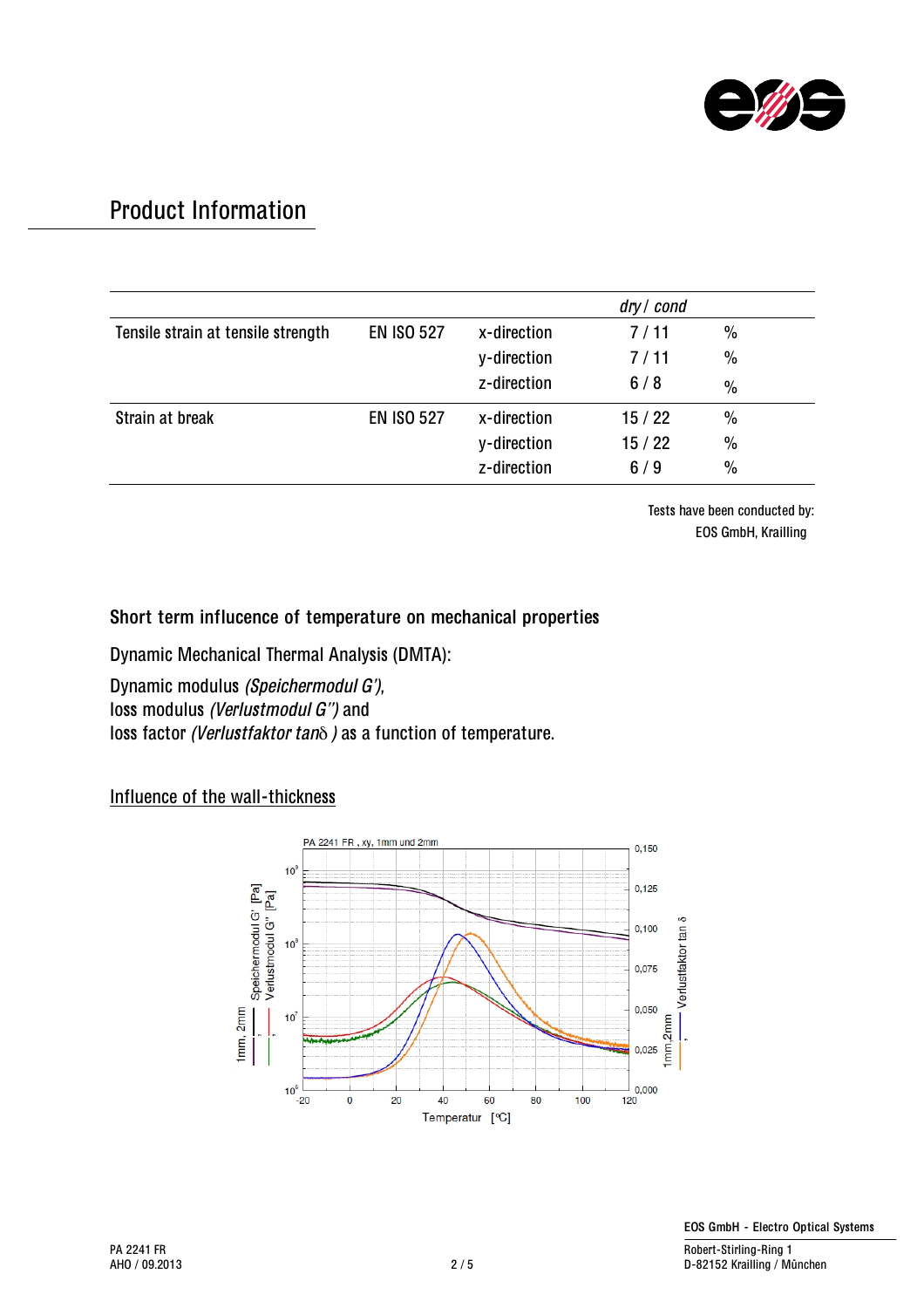

|                                    |                   | dry / cond  |       |               |
|------------------------------------|-------------------|-------------|-------|---------------|
| Tensile strain at tensile strength | <b>EN ISO 527</b> | x-direction | 7/11  | $\frac{0}{0}$ |
|                                    |                   | y-direction | 7/11  | $\frac{0}{0}$ |
|                                    |                   | z-direction | 6/8   | $\frac{0}{0}$ |
| Strain at break                    | <b>EN ISO 527</b> | x-direction | 15/22 | $\frac{0}{0}$ |
|                                    |                   | y-direction | 15/22 | $\frac{0}{0}$ |
|                                    |                   | z-direction | 6/9   | $\frac{0}{0}$ |

Tests have been conducted by: EOS GmbH, Krailling

#### Short term influcence of temperature on mechanical properties

Dynamic Mechanical Thermal Analysis (DMTA):

Dynamic modulus (Speichermodul G'), loss modulus (Verlustmodul G") and loss factor (Verlustfakto<sup>r</sup> <sup>t</sup>anδ ) as a function of temperature.

### Influence of the wall-thickness

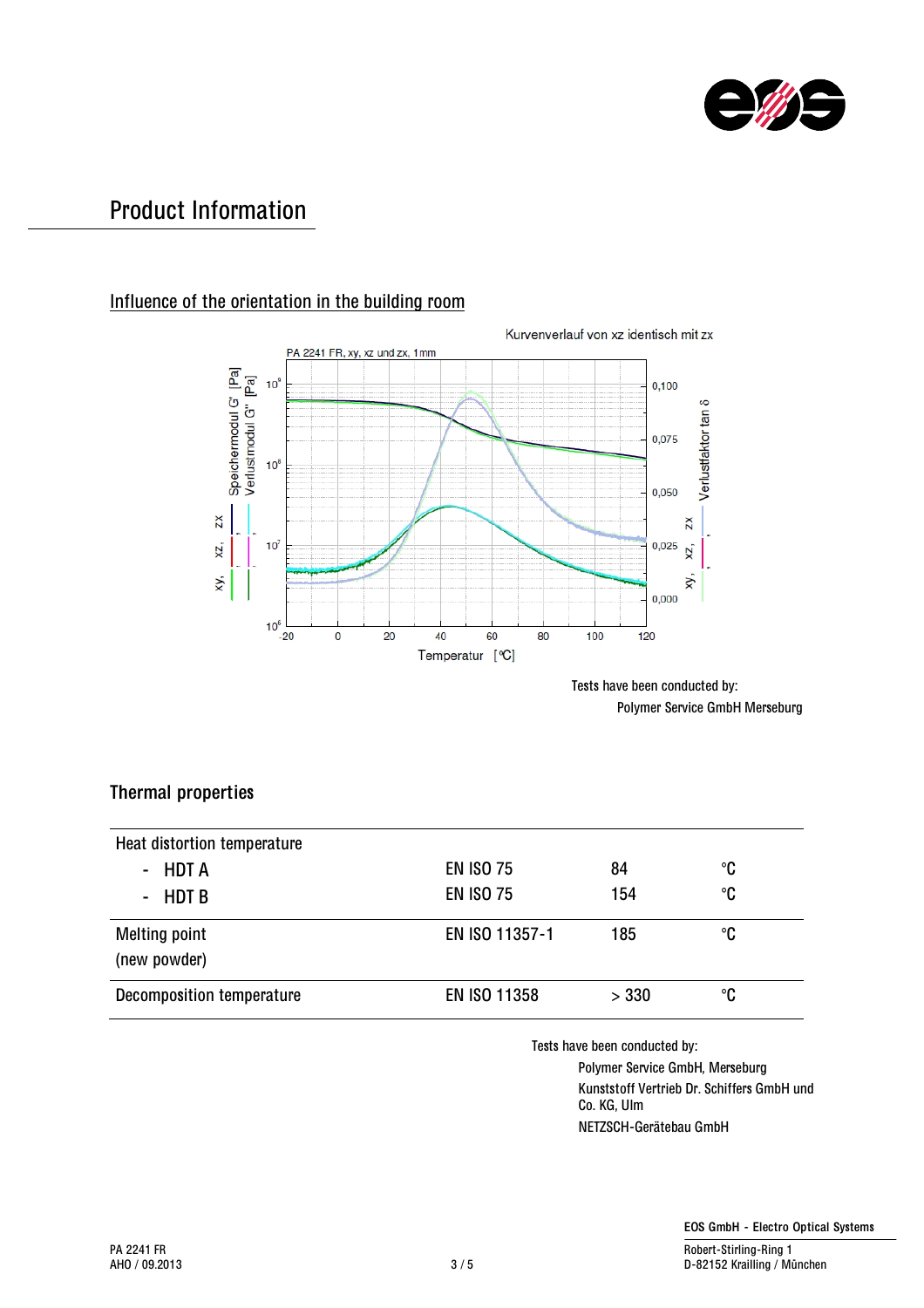

## Influence of the orientation in the building room



Tests have been conducted by: Polymer Service GmbH Merseburg

### Thermal properties

| Heat distortion temperature          |                     |       |              |
|--------------------------------------|---------------------|-------|--------------|
| - HDT A                              | <b>EN ISO 75</b>    | 84    | ℃            |
| - HDT B                              | <b>EN ISO 75</b>    | 154   | $^{\circ}$ C |
| <b>Melting point</b><br>(new powder) | EN ISO 11357-1      | 185   | ℃            |
| Decomposition temperature            | <b>EN ISO 11358</b> | > 330 | ℃            |

Tests have been conducted by:

Polymer Service GmbH, Merseburg Kunststoff Vertrieb Dr. Schiffers GmbH und Co. KG, Ulm NETZSCH-Gerätebau GmbH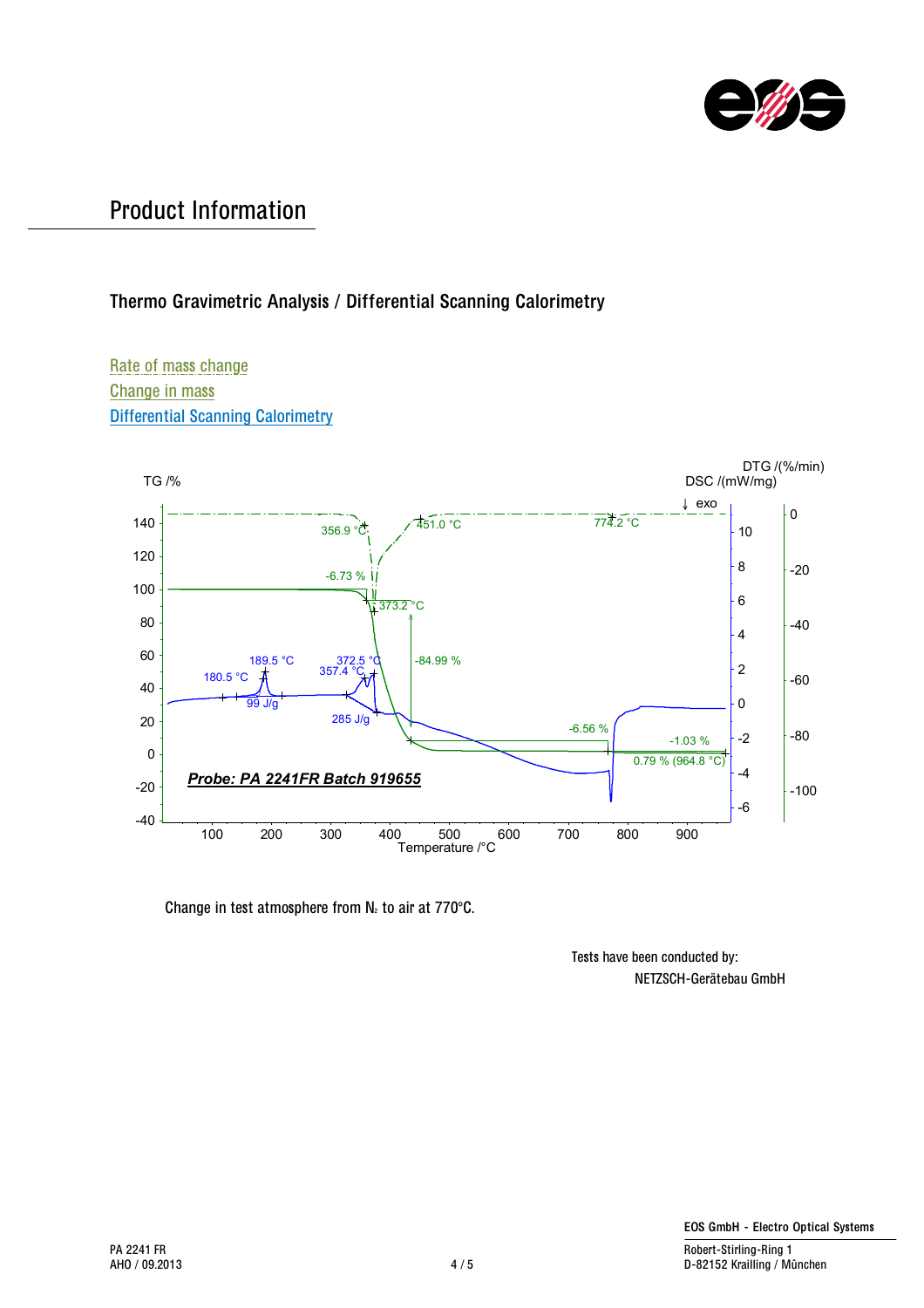

### Thermo Gravimetric Analysis / Differential Scanning Calorimetry





Change in test atmosphere from  $N_z$  to air at 770°C.

Tests have been conducted by: NETZSCH-Gerätebau GmbH

D-82152 Krailling / München